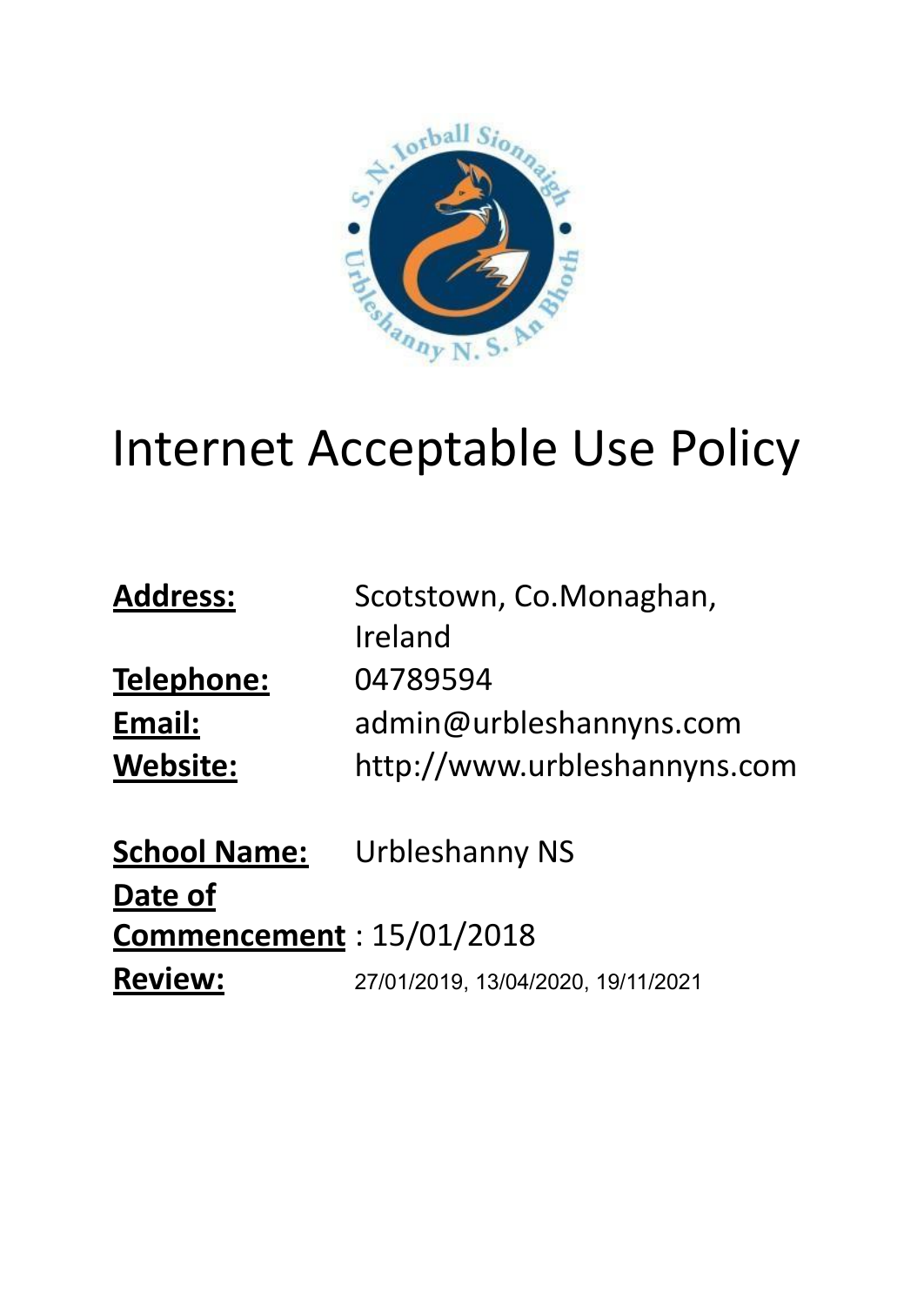

# Internet Acceptable Use Policy

| <b>Address:</b>                  | Scotstown, Co.Monaghan,<br>Ireland |
|----------------------------------|------------------------------------|
| Telephone:                       | 04789594                           |
| Email:                           | admin@urbleshannyns.com            |
| <b>Website:</b>                  | http://www.urbleshannyns.com       |
| <b>School Name:</b>              | <b>Urbleshanny NS</b>              |
| Date of                          |                                    |
| <b>Commencement</b> : 15/01/2018 |                                    |
| <b>Review:</b>                   | 27/01/2019, 13/04/2020, 19/11/2021 |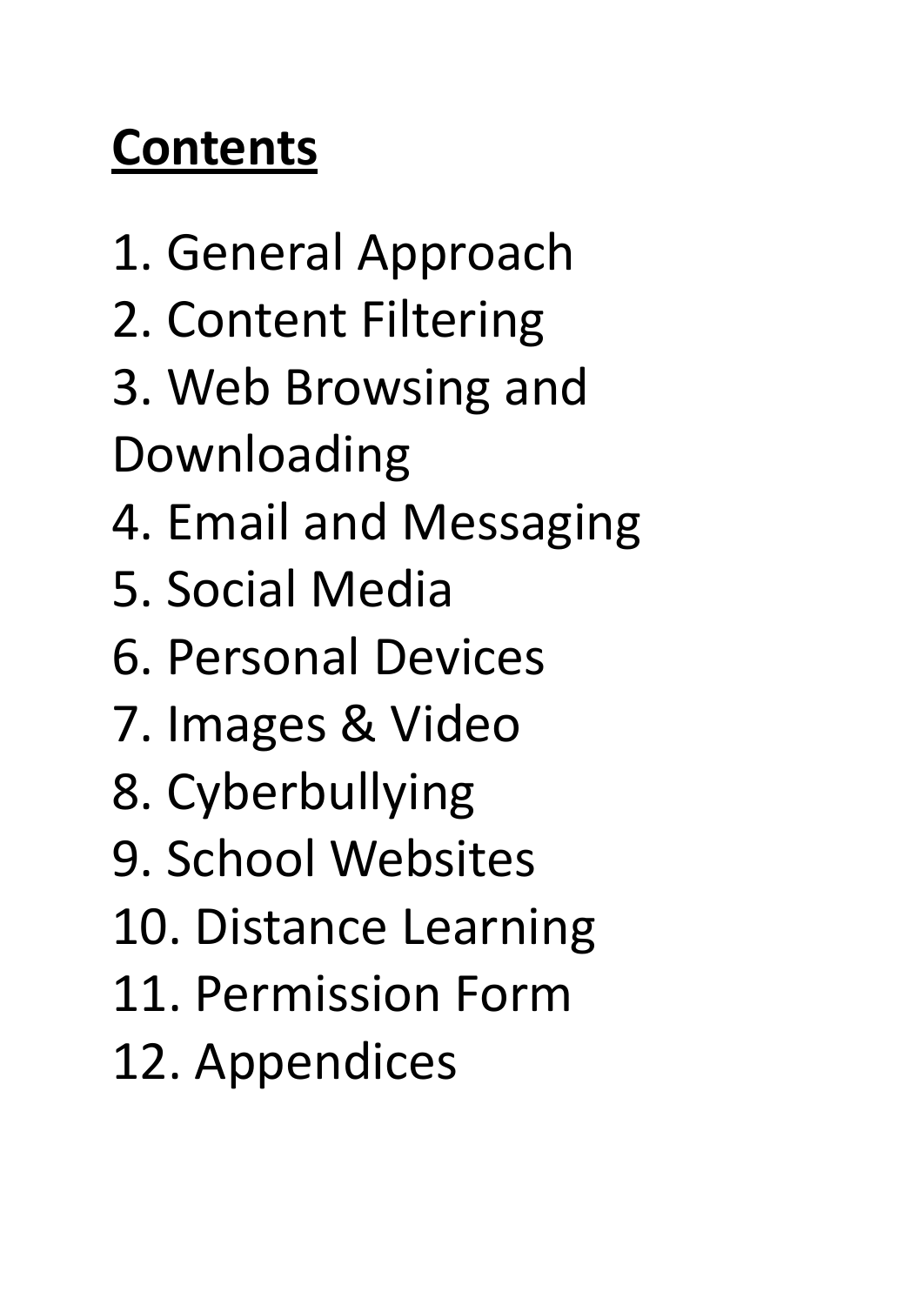# **Contents**

- 1. General Approach
- 2. Content Filtering
- 3. Web Browsing and
- Downloading
- 4. Email and Messaging
- 5. Social Media
- 6. Personal Devices
- 7. Images & Video
- 8. Cyberbullying
- 9. School Websites
- 10. Distance Learning
- 11. Permission Form
- 12. Appendices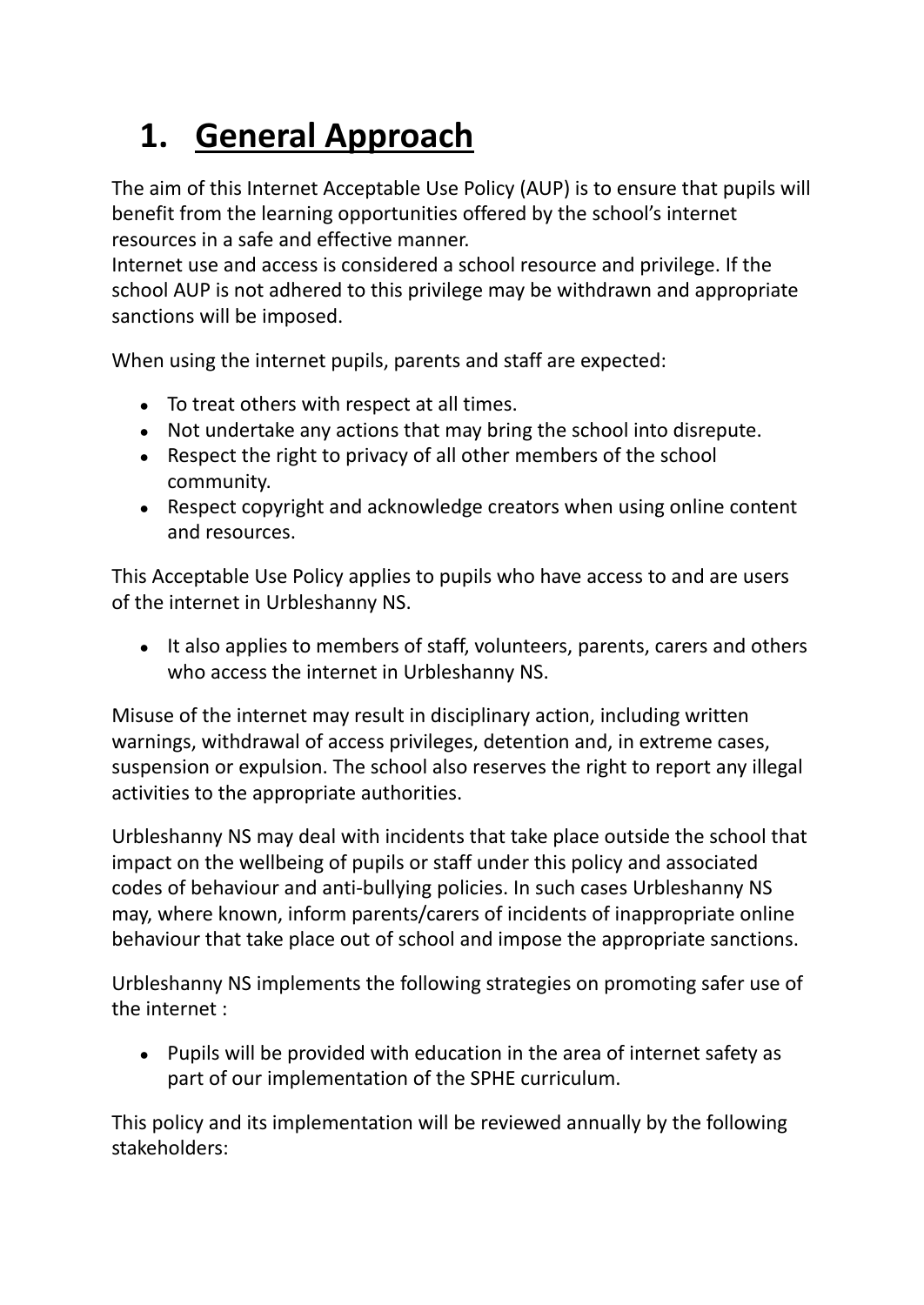## **1. General Approach**

The aim of this Internet Acceptable Use Policy (AUP) is to ensure that pupils will benefit from the learning opportunities offered by the school's internet resources in a safe and effective manner.

Internet use and access is considered a school resource and privilege. If the school AUP is not adhered to this privilege may be withdrawn and appropriate sanctions will be imposed.

When using the internet pupils, parents and staff are expected:

- To treat others with respect at all times.
- Not undertake any actions that may bring the school into disrepute.
- Respect the right to privacy of all other members of the school community.
- Respect copyright and acknowledge creators when using online content and resources.

This Acceptable Use Policy applies to pupils who have access to and are users of the internet in Urbleshanny NS.

• It also applies to members of staff, volunteers, parents, carers and others who access the internet in Urbleshanny NS.

Misuse of the internet may result in disciplinary action, including written warnings, withdrawal of access privileges, detention and, in extreme cases, suspension or expulsion. The school also reserves the right to report any illegal activities to the appropriate authorities.

Urbleshanny NS may deal with incidents that take place outside the school that impact on the wellbeing of pupils or staff under this policy and associated codes of behaviour and anti-bullying policies. In such cases Urbleshanny NS may, where known, inform parents/carers of incidents of inappropriate online behaviour that take place out of school and impose the appropriate sanctions.

Urbleshanny NS implements the following strategies on promoting safer use of the internet :

● Pupils will be provided with education in the area of internet safety as part of our implementation of the SPHE curriculum.

This policy and its implementation will be reviewed annually by the following stakeholders: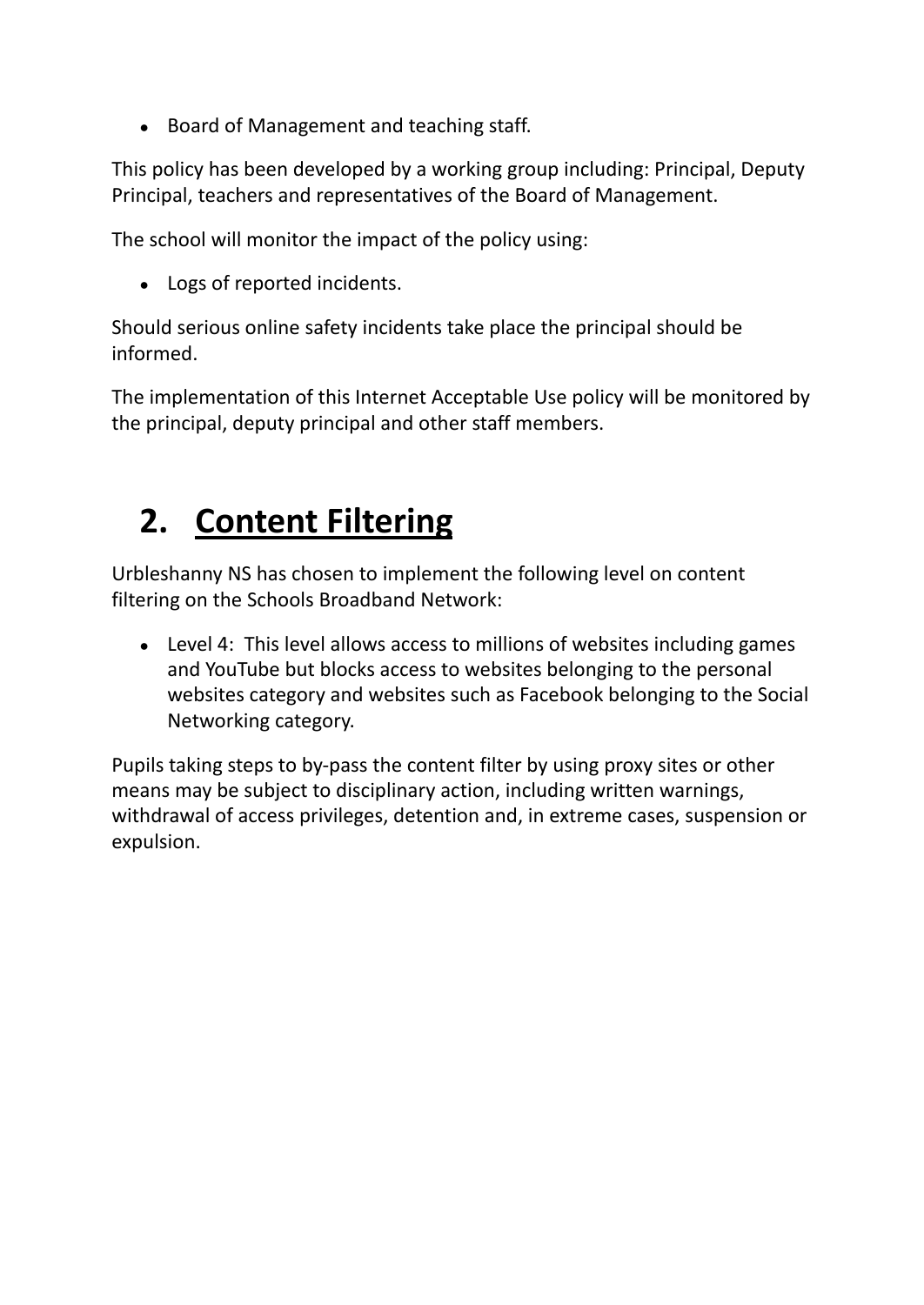● Board of Management and teaching staff.

This policy has been developed by a working group including: Principal, Deputy Principal, teachers and representatives of the Board of Management.

The school will monitor the impact of the policy using:

• Logs of reported incidents.

Should serious online safety incidents take place the principal should be informed.

The implementation of this Internet Acceptable Use policy will be monitored by the principal, deputy principal and other staff members.

#### **2. Content Filtering**

Urbleshanny NS has chosen to implement the following level on content filtering on the Schools Broadband Network:

• Level 4: This level allows access to millions of websites including games and YouTube but blocks access to websites belonging to the personal websites category and websites such as Facebook belonging to the Social Networking category.

Pupils taking steps to by-pass the content filter by using proxy sites or other means may be subject to disciplinary action, including written warnings, withdrawal of access privileges, detention and, in extreme cases, suspension or expulsion.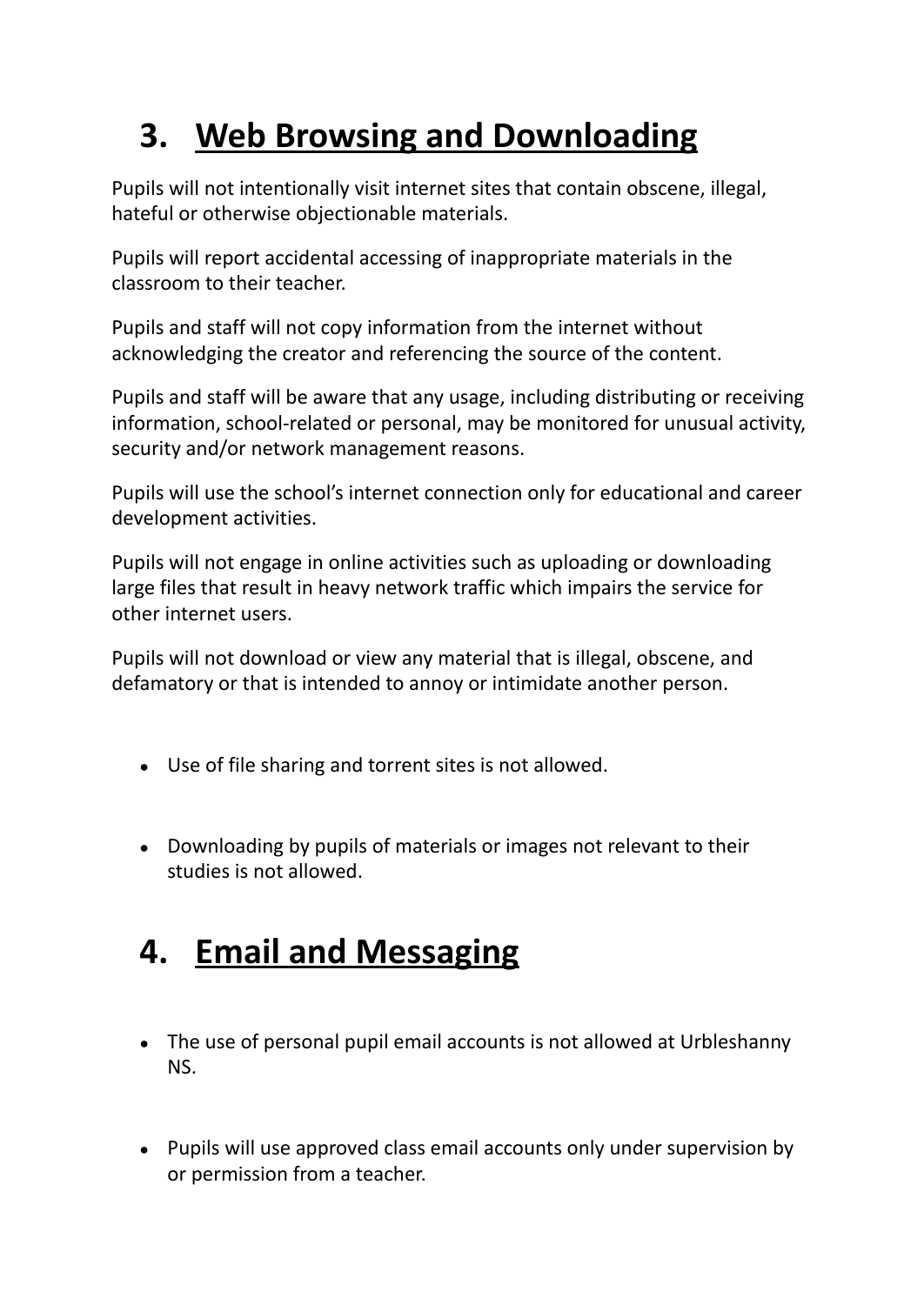#### **3. Web Browsing and Downloading**

Pupils will not intentionally visit internet sites that contain obscene, illegal, hateful or otherwise objectionable materials.

Pupils will report accidental accessing of inappropriate materials in the classroom to their teacher.

Pupils and staff will not copy information from the internet without acknowledging the creator and referencing the source of the content.

Pupils and staff will be aware that any usage, including distributing or receiving information, school-related or personal, may be monitored for unusual activity, security and/or network management reasons.

Pupils will use the school's internet connection only for educational and career development activities.

Pupils will not engage in online activities such as uploading or downloading large files that result in heavy network traffic which impairs the service for other internet users.

Pupils will not download or view any material that is illegal, obscene, and defamatory or that is intended to annoy or intimidate another person.

- Use of file sharing and torrent sites is not allowed.
- Downloading by pupils of materials or images not relevant to their studies is not allowed.

#### **4. Email and Messaging**

- The use of personal pupil email accounts is not allowed at Urbleshanny NS.
- Pupils will use approved class email accounts only under supervision by or permission from a teacher.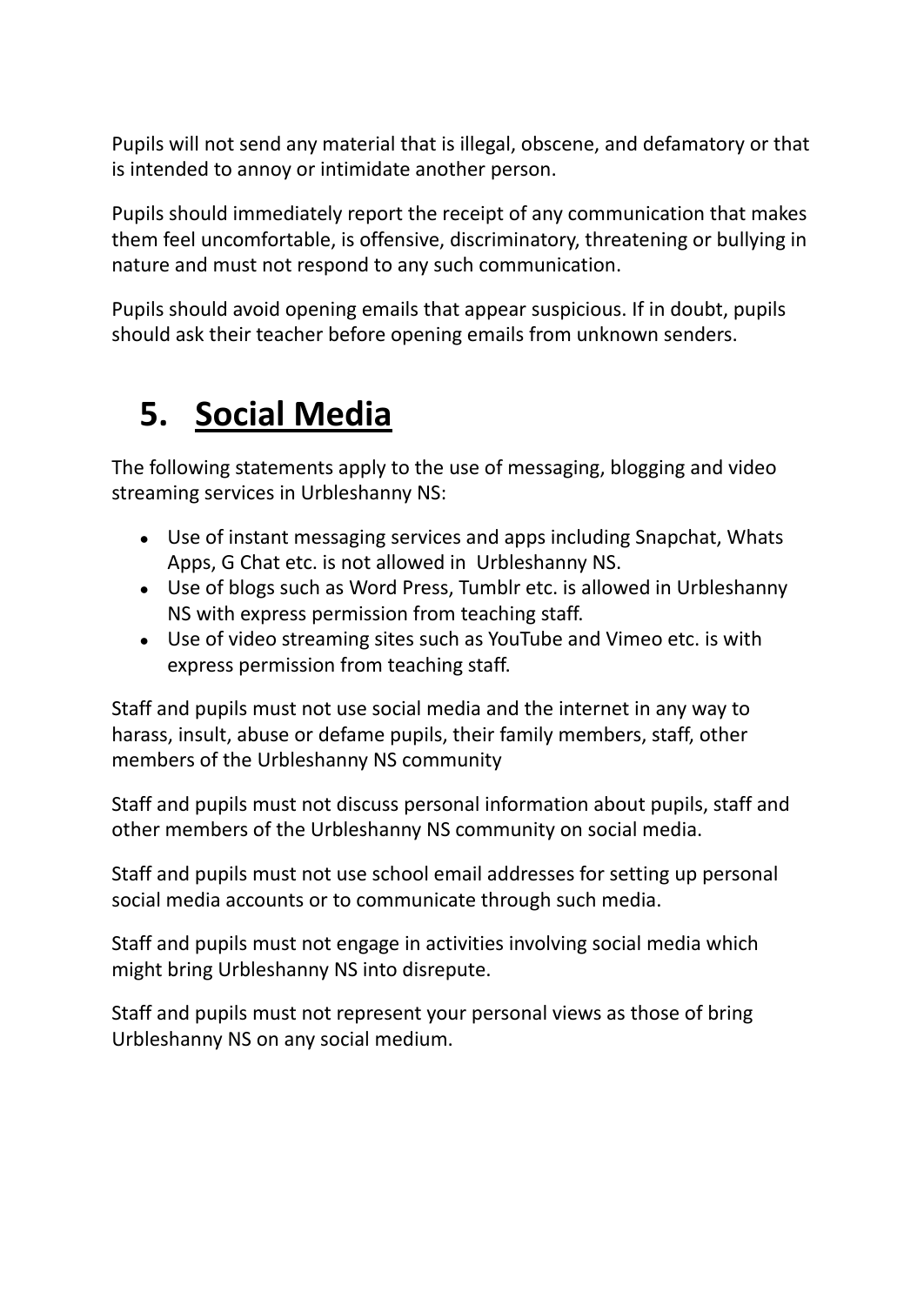Pupils will not send any material that is illegal, obscene, and defamatory or that is intended to annoy or intimidate another person.

Pupils should immediately report the receipt of any communication that makes them feel uncomfortable, is offensive, discriminatory, threatening or bullying in nature and must not respond to any such communication.

Pupils should avoid opening emails that appear suspicious. If in doubt, pupils should ask their teacher before opening emails from unknown senders.

#### **5. Social Media**

The following statements apply to the use of messaging, blogging and video streaming services in Urbleshanny NS:

- Use of instant messaging services and apps including Snapchat, Whats Apps, G Chat etc. is not allowed in Urbleshanny NS.
- Use of blogs such as Word Press, Tumblr etc. is allowed in Urbleshanny NS with express permission from teaching staff.
- Use of video streaming sites such as YouTube and Vimeo etc. is with express permission from teaching staff.

Staff and pupils must not use social media and the internet in any way to harass, insult, abuse or defame pupils, their family members, staff, other members of the Urbleshanny NS community

Staff and pupils must not discuss personal information about pupils, staff and other members of the Urbleshanny NS community on social media.

Staff and pupils must not use school email addresses for setting up personal social media accounts or to communicate through such media.

Staff and pupils must not engage in activities involving social media which might bring Urbleshanny NS into disrepute.

Staff and pupils must not represent your personal views as those of bring Urbleshanny NS on any social medium.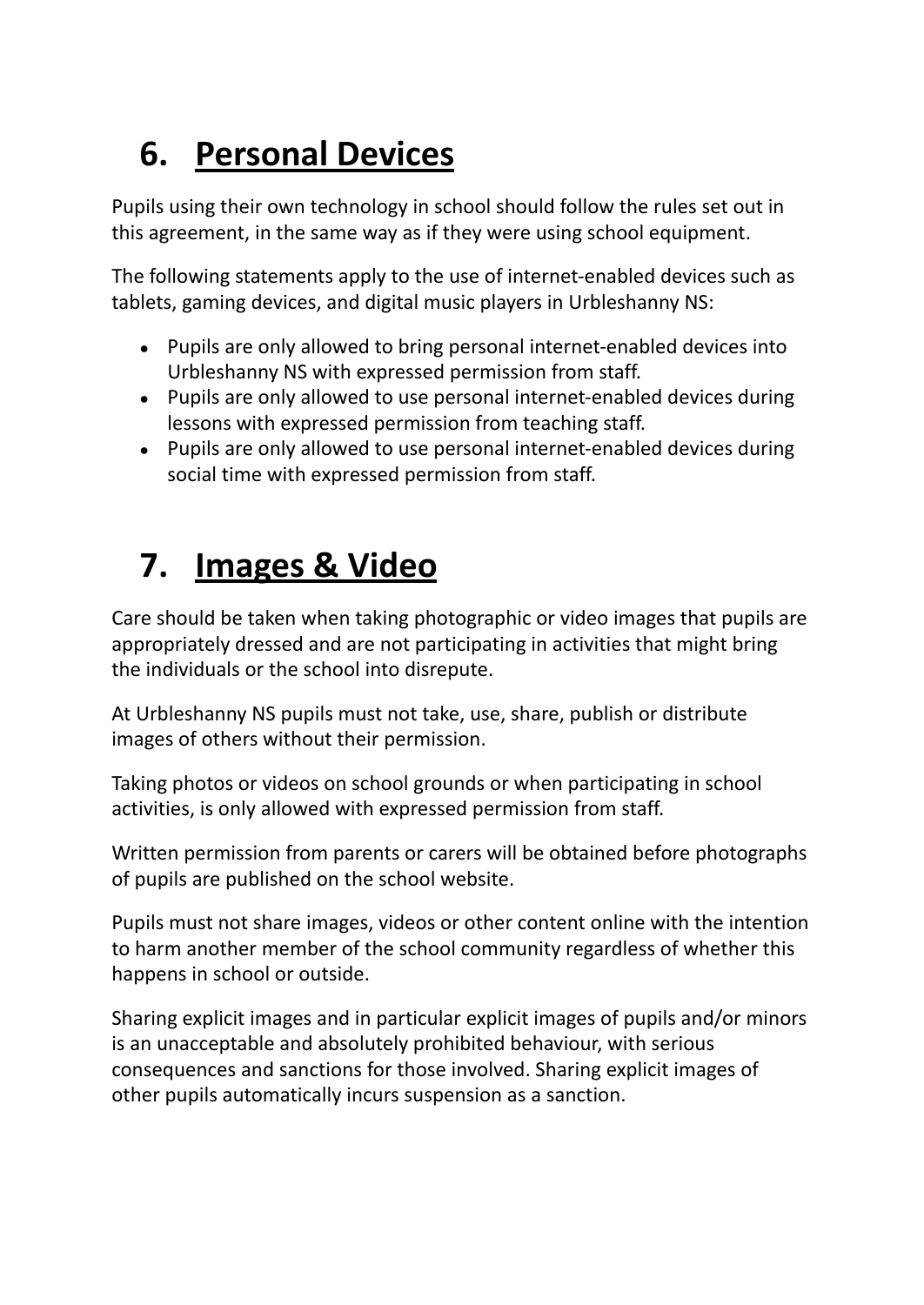## **6. Personal Devices**

Pupils using their own technology in school should follow the rules set out in this agreement, in the same way as if they were using school equipment.

The following statements apply to the use of internet-enabled devices such as tablets, gaming devices, and digital music players in Urbleshanny NS:

- Pupils are only allowed to bring personal internet-enabled devices into Urbleshanny NS with expressed permission from staff.
- Pupils are only allowed to use personal internet-enabled devices during lessons with expressed permission from teaching staff.
- Pupils are only allowed to use personal internet-enabled devices during social time with expressed permission from staff.

### **7. Images & Video**

Care should be taken when taking photographic or video images that pupils are appropriately dressed and are not participating in activities that might bring the individuals or the school into disrepute.

At Urbleshanny NS pupils must not take, use, share, publish or distribute images of others without their permission.

Taking photos or videos on school grounds or when participating in school activities, is only allowed with expressed permission from staff.

Written permission from parents or carers will be obtained before photographs of pupils are published on the school website.

Pupils must not share images, videos or other content online with the intention to harm another member of the school community regardless of whether this happens in school or outside.

Sharing explicit images and in particular explicit images of pupils and/or minors is an unacceptable and absolutely prohibited behaviour, with serious consequences and sanctions for those involved. Sharing explicit images of other pupils automatically incurs suspension as a sanction.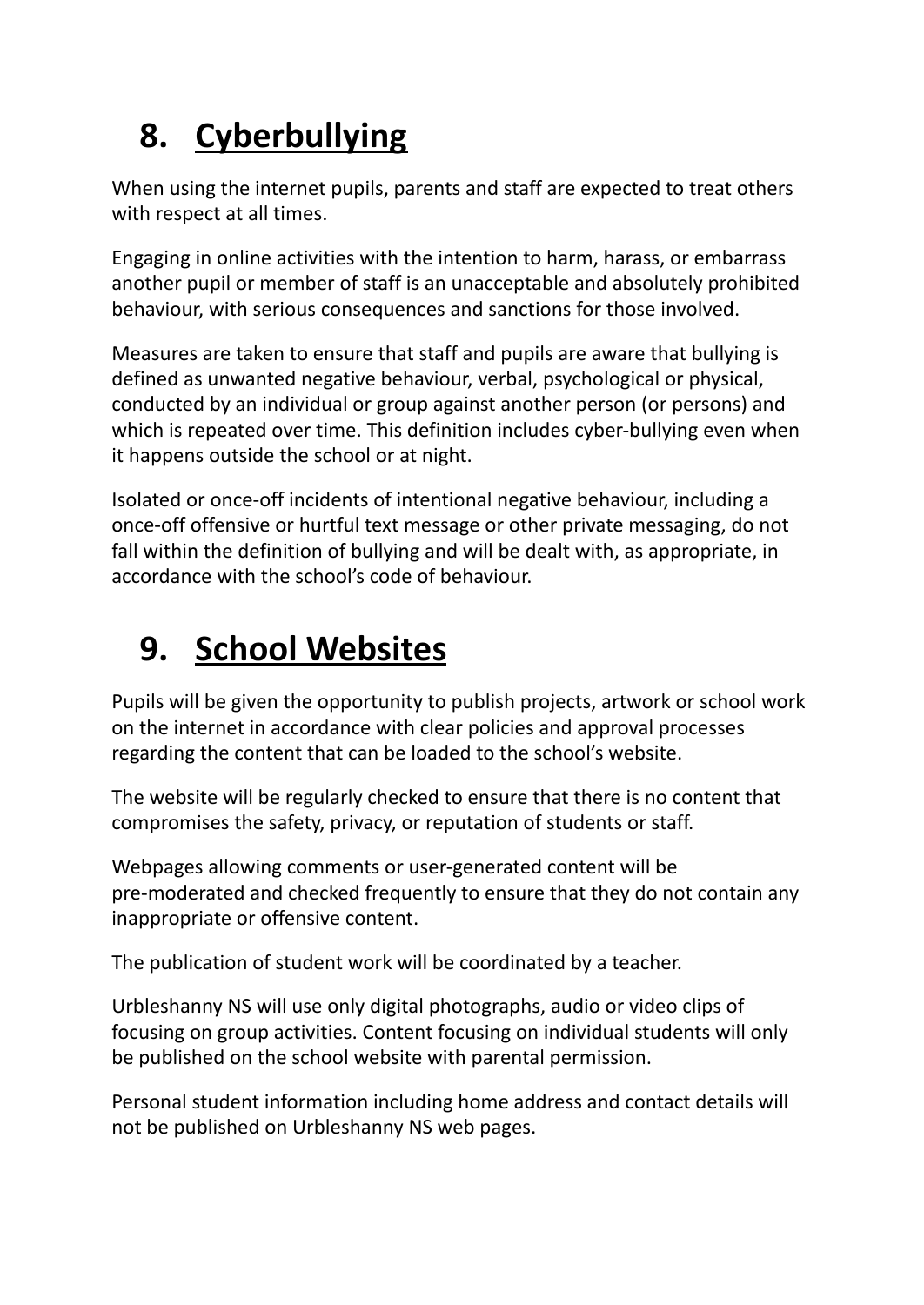## **8. Cyberbullying**

When using the internet pupils, parents and staff are expected to treat others with respect at all times.

Engaging in online activities with the intention to harm, harass, or embarrass another pupil or member of staff is an unacceptable and absolutely prohibited behaviour, with serious consequences and sanctions for those involved.

Measures are taken to ensure that staff and pupils are aware that bullying is defined as unwanted negative behaviour, verbal, psychological or physical, conducted by an individual or group against another person (or persons) and which is repeated over time. This definition includes cyber-bullying even when it happens outside the school or at night.

Isolated or once-off incidents of intentional negative behaviour, including a once-off offensive or hurtful text message or other private messaging, do not fall within the definition of bullying and will be dealt with, as appropriate, in accordance with the school's code of behaviour.

### **9. School Websites**

Pupils will be given the opportunity to publish projects, artwork or school work on the internet in accordance with clear policies and approval processes regarding the content that can be loaded to the school's website.

The website will be regularly checked to ensure that there is no content that compromises the safety, privacy, or reputation of students or staff.

Webpages allowing comments or user-generated content will be pre-moderated and checked frequently to ensure that they do not contain any inappropriate or offensive content.

The publication of student work will be coordinated by a teacher.

Urbleshanny NS will use only digital photographs, audio or video clips of focusing on group activities. Content focusing on individual students will only be published on the school website with parental permission.

Personal student information including home address and contact details will not be published on Urbleshanny NS web pages.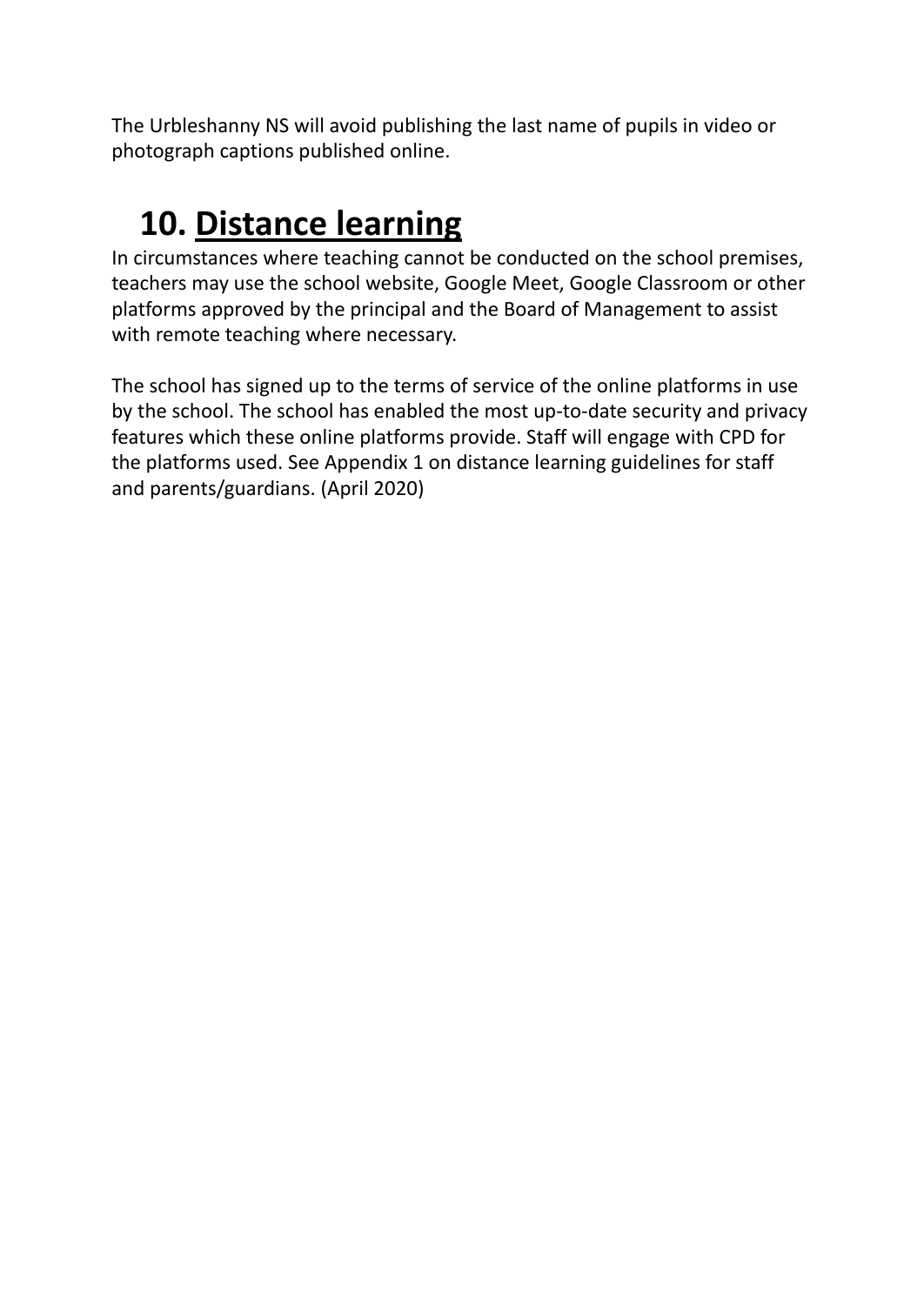The Urbleshanny NS will avoid publishing the last name of pupils in video or photograph captions published online.

### **10. Distance learning**

In circumstances where teaching cannot be conducted on the school premises, teachers may use the school website, Google Meet, Google Classroom or other platforms approved by the principal and the Board of Management to assist with remote teaching where necessary.

The school has signed up to the terms of service of the online platforms in use by the school. The school has enabled the most up-to-date security and privacy features which these online platforms provide. Staff will engage with CPD for the platforms used. See Appendix 1 on distance learning guidelines for staff and parents/guardians. (April 2020)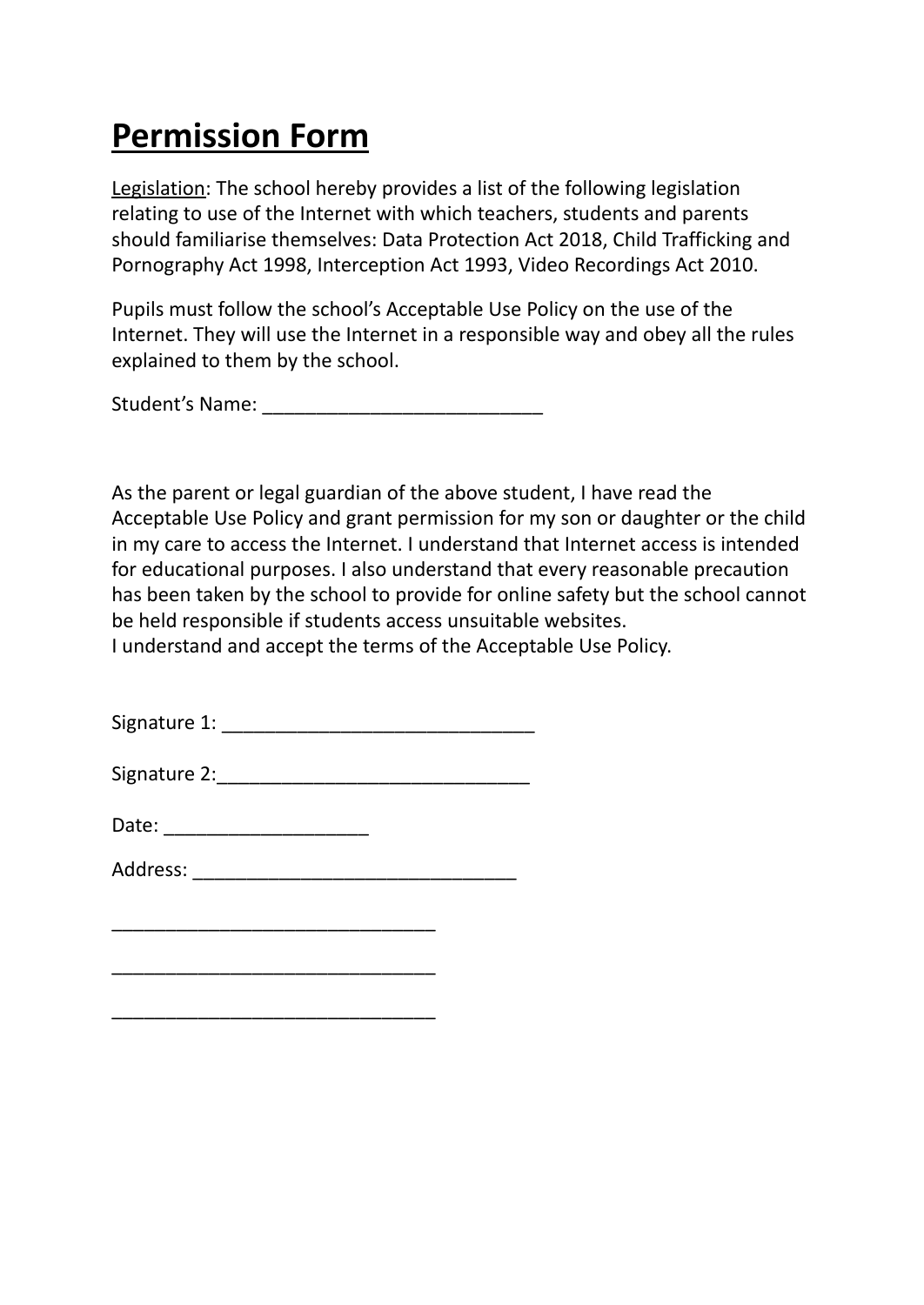#### **Permission Form**

Legislation: The school hereby provides a list of the following legislation relating to use of the Internet with which teachers, students and parents should familiarise themselves: Data Protection Act 2018, Child Trafficking and Pornography Act 1998, Interception Act 1993, Video Recordings Act 2010.

Pupils must follow the school's Acceptable Use Policy on the use of the Internet. They will use the Internet in a responsible way and obey all the rules explained to them by the school.

Student's Name: \_\_\_\_\_\_\_\_\_\_\_\_\_\_\_\_\_\_\_\_\_\_\_\_\_\_

As the parent or legal guardian of the above student, I have read the Acceptable Use Policy and grant permission for my son or daughter or the child in my care to access the Internet. I understand that Internet access is intended for educational purposes. I also understand that every reasonable precaution has been taken by the school to provide for online safety but the school cannot be held responsible if students access unsuitable websites. I understand and accept the terms of the Acceptable Use Policy.

| Signature 1:                |  |
|-----------------------------|--|
| Signature 2: Signature 2:   |  |
| Date: _____________________ |  |
| Address: ___________        |  |
|                             |  |

\_\_\_\_\_\_\_\_\_\_\_\_\_\_\_\_\_\_\_\_\_\_\_\_\_\_\_\_\_\_

\_\_\_\_\_\_\_\_\_\_\_\_\_\_\_\_\_\_\_\_\_\_\_\_\_\_\_\_\_\_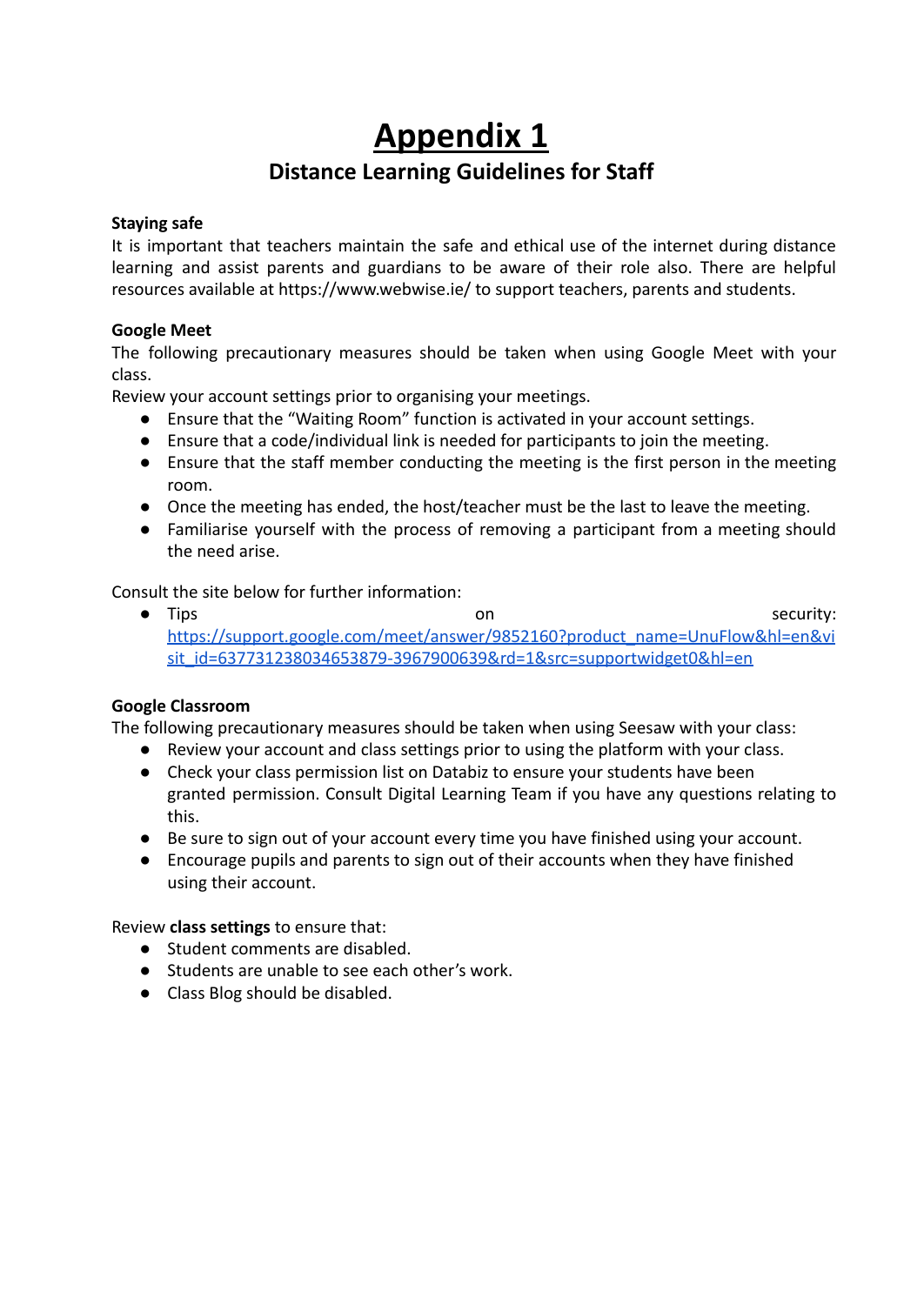#### **Appendix 1 Distance Learning Guidelines for Staff**

#### **Staying safe**

It is important that teachers maintain the safe and ethical use of the internet during distance learning and assist parents and guardians to be aware of their role also. There are helpful resources available at https://www.webwise.ie/ to support teachers, parents and students.

#### **Google Meet**

The following precautionary measures should be taken when using Google Meet with your class.

Review your account settings prior to organising your meetings.

- Ensure that the "Waiting Room" function is activated in your account settings.
- Ensure that a code/individual link is needed for participants to join the meeting.
- Ensure that the staff member conducting the meeting is the first person in the meeting room.
- Once the meeting has ended, the host/teacher must be the last to leave the meeting.
- Familiarise yourself with the process of removing a participant from a meeting should the need arise.

Consult the site below for further information:

● Tips security: [https://support.google.com/meet/answer/9852160?product\\_name=UnuFlow&hl=en&vi](https://support.google.com/meet/answer/9852160?product_name=UnuFlow&hl=en&visit_id=637731238034653879-3967900639&rd=1&src=supportwidget0&hl=en) [sit\\_id=637731238034653879-3967900639&rd=1&src=supportwidget0&hl=en](https://support.google.com/meet/answer/9852160?product_name=UnuFlow&hl=en&visit_id=637731238034653879-3967900639&rd=1&src=supportwidget0&hl=en)

#### **Google Classroom**

The following precautionary measures should be taken when using Seesaw with your class:

- Review your account and class settings prior to using the platform with your class.
- Check your class permission list on Databiz to ensure your students have been granted permission. Consult Digital Learning Team if you have any questions relating to this.
- Be sure to sign out of your account every time you have finished using your account.
- Encourage pupils and parents to sign out of their accounts when they have finished using their account.

Review **class settings** to ensure that:

- Student comments are disabled.
- Students are unable to see each other's work.
- Class Blog should be disabled.